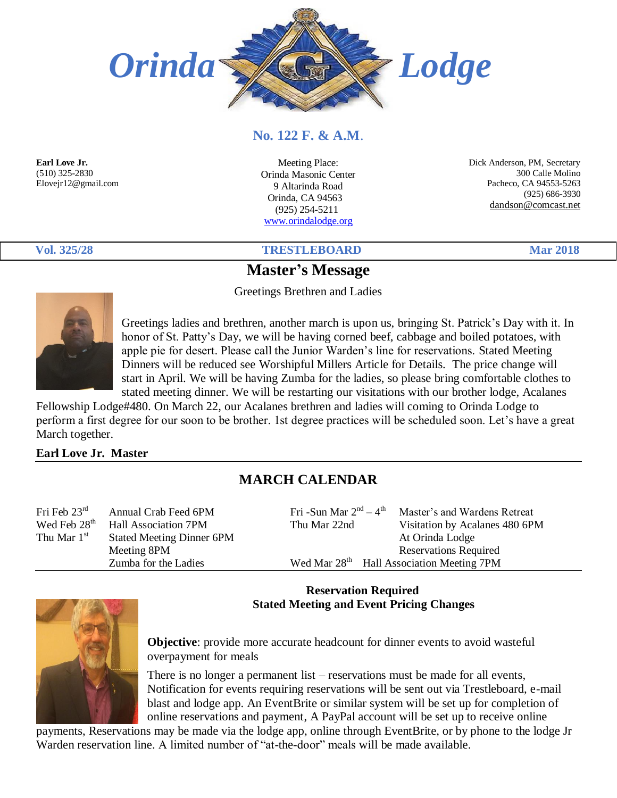

### **No. 122 F. & A.M**.

**Earl Love Jr.**  (510) 325-2830 Elovejr12@gmail.com

Meeting Place: Orinda Masonic Center 9 Altarinda Road Orinda, CA 94563 (925) 254-5211 [www.orindalodge.org](http://www.orindalodge.org/)

 Dick Anderson, PM, Secretary 300 Calle Molino Pacheco, CA 94553-5263 (925) 686-3930 dandson@comcast.net

**Vol. 325/28 TRESTLEBOARD Mar 2018**

# **Master's Message**

Greetings Brethren and Ladies



Greetings ladies and brethren, another march is upon us, bringing St. Patrick's Day with it. In honor of St. Patty's Day, we will be having corned beef, cabbage and boiled potatoes, with apple pie for desert. Please call the Junior Warden's line for reservations. Stated Meeting Dinners will be reduced see Worshipful Millers Article for Details. The price change will start in April. We will be having Zumba for the ladies, so please bring comfortable clothes to stated meeting dinner. We will be restarting our visitations with our brother lodge, Acalanes

Fellowship Lodge#480. On March 22, our Acalanes brethren and ladies will coming to Orinda Lodge to perform a first degree for our soon to be brother. 1st degree practices will be scheduled soon. Let's have a great March together.

#### **Earl Love Jr. Master**

## **MARCH CALENDAR**

| Fri Feb $23rd$           | Annual Crab Feed 6PM             | Fri -Sun Mar $2nd - 4th$ | Master's and Wardens Retreat                          |  |
|--------------------------|----------------------------------|--------------------------|-------------------------------------------------------|--|
| Wed Feb 28 <sup>th</sup> | Hall Association 7PM             | Thu Mar 22nd             | Visitation by Acalanes 480 6PM                        |  |
| Thu Mar $1st$            | <b>Stated Meeting Dinner 6PM</b> |                          | At Orinda Lodge                                       |  |
|                          | Meeting 8PM                      |                          | <b>Reservations Required</b>                          |  |
|                          | Zumba for the Ladies             |                          | Wed Mar 28 <sup>th</sup> Hall Association Meeting 7PM |  |
|                          |                                  |                          |                                                       |  |

#### **Reservation Required Stated Meeting and Event Pricing Changes**



**Objective**: provide more accurate headcount for dinner events to avoid wasteful overpayment for meals

There is no longer a permanent list – reservations must be made for all events, Notification for events requiring reservations will be sent out via Trestleboard, e-mail blast and lodge app. An EventBrite or similar system will be set up for completion of online reservations and payment, A PayPal account will be set up to receive online

payments, Reservations may be made via the lodge app, online through EventBrite, or by phone to the lodge Jr Warden reservation line. A limited number of "at-the-door" meals will be made available.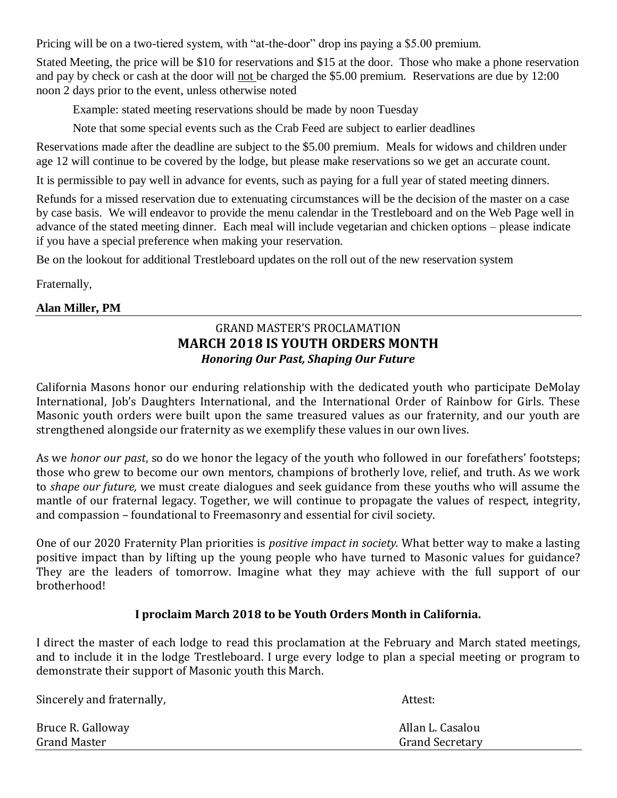Pricing will be on a two-tiered system, with "at-the-door" drop ins paying a \$5.00 premium.

Stated Meeting, the price will be \$10 for reservations and \$15 at the door. Those who make a phone reservation and pay by check or cash at the door will not be charged the \$5.00 premium. Reservations are due by 12:00 noon 2 days prior to the event, unless otherwise noted

Example: stated meeting reservations should be made by noon Tuesday

Note that some special events such as the Crab Feed are subject to earlier deadlines

Reservations made after the deadline are subject to the \$5.00 premium. Meals for widows and children under age 12 will continue to be covered by the lodge, but please make reservations so we get an accurate count.

It is permissible to pay well in advance for events, such as paying for a full year of stated meeting dinners.

Refunds for a missed reservation due to extenuating circumstances will be the decision of the master on a case by case basis. We will endeavor to provide the menu calendar in the Trestleboard and on the Web Page well in advance of the stated meeting dinner. Each meal will include vegetarian and chicken options – please indicate if you have a special preference when making your reservation.

Be on the lookout for additional Trestleboard updates on the roll out of the new reservation system

Fraternally,

#### **Alan Miller, PM**

#### GRAND MASTER'S PROCLAMATION **MARCH 2018 IS YOUTH ORDERS MONTH** *Honoring Our Past, Shaping Our Future*

California Masons honor our enduring relationship with the dedicated youth who participate DeMolay International, Job's Daughters International, and the International Order of Rainbow for Girls. These Masonic youth orders were built upon the same treasured values as our fraternity, and our youth are strengthened alongside our fraternity as we exemplify these values in our own lives.

As we *honor our past*, so do we honor the legacy of the youth who followed in our forefathers' footsteps; those who grew to become our own mentors, champions of brotherly love, relief, and truth. As we work to *shape our future,* we must create dialogues and seek guidance from these youths who will assume the mantle of our fraternal legacy. Together, we will continue to propagate the values of respect, integrity, and compassion – foundational to Freemasonry and essential for civil society.

One of our 2020 Fraternity Plan priorities is *positive impact in society.* What better way to make a lasting positive impact than by lifting up the young people who have turned to Masonic values for guidance? They are the leaders of tomorrow. Imagine what they may achieve with the full support of our brotherhood!

#### **I proclaim March 2018 to be Youth Orders Month in California.**

I direct the master of each lodge to read this proclamation at the February and March stated meetings, and to include it in the lodge Trestleboard. I urge every lodge to plan a special meeting or program to demonstrate their support of Masonic youth this March.

|                     | Attest:                |
|---------------------|------------------------|
| Bruce R. Galloway   | Allan L. Casalou       |
| <b>Grand Master</b> | <b>Grand Secretary</b> |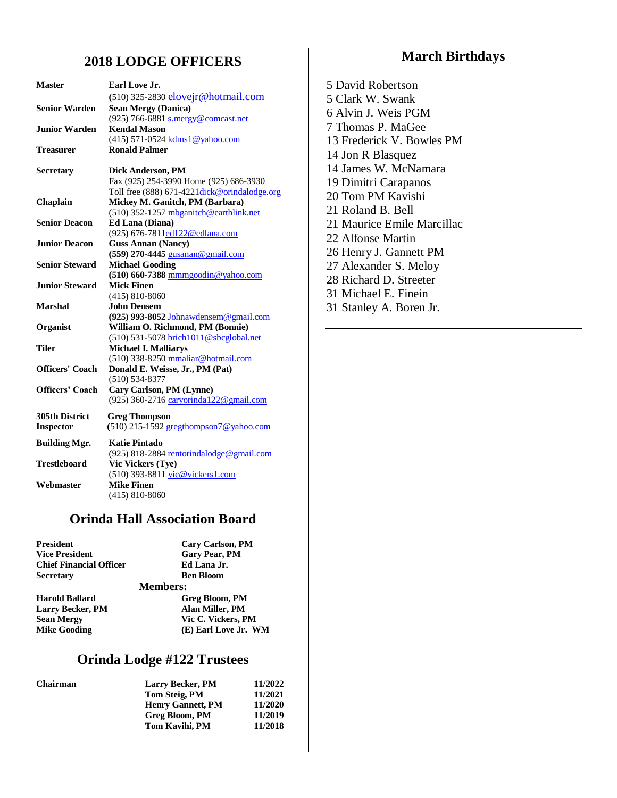#### **2018 LODGE OFFICERS**

| <b>Master</b>          | Earl Love Jr.                                 |
|------------------------|-----------------------------------------------|
|                        | (510) 325-2830 eloveir@hotmail.com            |
| <b>Senior Warden</b>   | <b>Sean Mergy (Danica)</b>                    |
|                        | (925) 766-6881 s.mergy@comcast.net            |
| <b>Junior Warden</b>   | <b>Kendal Mason</b>                           |
|                        | (415) 571-0524 kdms1@yahoo.com                |
| Treasurer              | <b>Ronald Palmer</b>                          |
| <b>Secretary</b>       | Dick Anderson, PM                             |
|                        | Fax (925) 254-3990 Home (925) 686-3930        |
|                        | Toll free (888) 671-4221 dick@orindalodge.org |
| Chaplain               | Mickey M. Ganitch, PM (Barbara)               |
|                        | (510) 352-1257 mbganitch@earthlink.net        |
| <b>Senior Deacon</b>   | <b>Ed Lana (Diana)</b>                        |
|                        | (925) 676-7811ed122@edlana.com                |
| <b>Junior Deacon</b>   | <b>Guss Annan (Nancy)</b>                     |
|                        | (559) 270-4445 gusanan@gmail.com              |
| <b>Senior Steward</b>  | <b>Michael Gooding</b>                        |
|                        | $(510)$ 660-7388 mmmgoodin@yahoo.com          |
| <b>Junior Steward</b>  | <b>Mick Finen</b>                             |
|                        | $(415) 810 - 8060$                            |
| <b>Marshal</b>         | <b>John Densem</b>                            |
|                        | (925) 993-8052 Johnawdensem@gmail.com         |
| Organist               | William O. Richmond, PM (Bonnie)              |
|                        | (510) 531-5078 brich1011@sbcglobal.net        |
| <b>Tiler</b>           | <b>Michael I. Malliarys</b>                   |
|                        | (510) 338-8250 mmaliar@hotmail.com            |
| Officers' Coach        | Donald E. Weisse, Jr., PM (Pat)               |
|                        | $(510) 534 - 8377$                            |
| <b>Officers' Coach</b> | Cary Carlson, PM (Lynne)                      |
|                        | (925) 360-2716 caryorinda122@gmail.com        |
| 305th District         | <b>Greg Thompson</b>                          |
| <b>Inspector</b>       | $(510)$ 215-1592 gregthompson7@yahoo.com      |
| <b>Building Mgr.</b>   | <b>Katie Pintado</b>                          |
|                        | $(925)$ 818-2884 rentorindalodge@gmail.com    |
| <b>Trestleboard</b>    | Vic Vickers (Tye)                             |
|                        | (510) 393-8811 vic@vickers1.com               |
| Webmaster              | <b>Mike Finen</b>                             |
|                        | $(415) 810 - 8060$                            |

# **Orinda Hall Association Board**

| <b>Cary Carlson, PM</b> |
|-------------------------|
| <b>Gary Pear, PM</b>    |
| Ed Lana Jr.             |
| <b>Ben Bloom</b>        |
| <b>Members:</b>         |
| Greg Bloom, PM          |
| Alan Miller, PM         |
| Vic C. Vickers, PM      |
| (E) Earl Love Jr. WM    |
|                         |

### **Orinda Lodge #122 Trustees**

| <b>Chairman</b> | <b>Larry Becker, PM</b>  | 11/2022 |
|-----------------|--------------------------|---------|
|                 | Tom Steig, PM            | 11/2021 |
|                 | <b>Henry Gannett, PM</b> | 11/2020 |
|                 | <b>Greg Bloom, PM</b>    | 11/2019 |
|                 | Tom Kavihi, PM           | 11/2018 |

### **March Birthdays**

5 David Robertson 5 Clark W. Swank 6 Alvin J. Weis PGM 7 Thomas P. MaGee 13 Frederick V. Bowles PM 14 Jon R Blasquez 14 James W. McNamara 19 Dimitri Carapanos 20 Tom PM Kavishi 21 Roland B. Bell 21 Maurice Emile Marcillac 22 Alfonse Martin 26 Henry J. Gannett PM 27 Alexander S. Meloy 28 Richard D. Streeter 31 Michael E. Finein 31 Stanley A. Boren Jr.